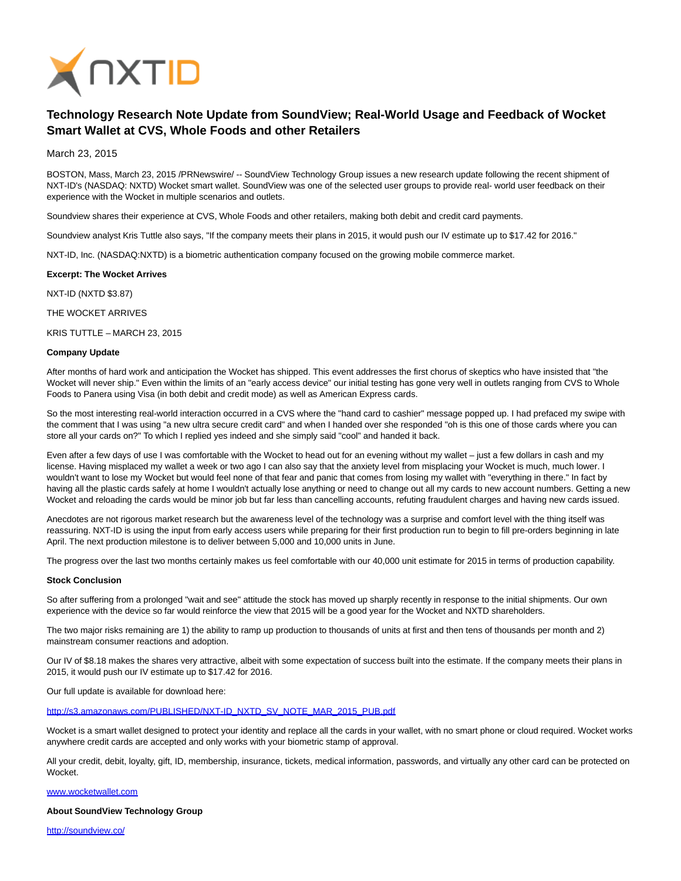

# **Technology Research Note Update from SoundView; Real-World Usage and Feedback of Wocket Smart Wallet at CVS, Whole Foods and other Retailers**

March 23, 2015

BOSTON, Mass, March 23, 2015 /PRNewswire/ -- SoundView Technology Group issues a new research update following the recent shipment of NXT-ID's (NASDAQ: NXTD) Wocket smart wallet. SoundView was one of the selected user groups to provide real- world user feedback on their experience with the Wocket in multiple scenarios and outlets.

Soundview shares their experience at CVS, Whole Foods and other retailers, making both debit and credit card payments.

Soundview analyst Kris Tuttle also says, "If the company meets their plans in 2015, it would push our IV estimate up to \$17.42 for 2016."

NXT-ID, Inc. (NASDAQ:NXTD) is a biometric authentication company focused on the growing mobile commerce market.

**Excerpt: The Wocket Arrives**

NXT-ID (NXTD \$3.87)

THE WOCKET ARRIVES

KRIS TUTTLE – MARCH 23, 2015

### **Company Update**

After months of hard work and anticipation the Wocket has shipped. This event addresses the first chorus of skeptics who have insisted that "the Wocket will never ship." Even within the limits of an "early access device" our initial testing has gone very well in outlets ranging from CVS to Whole Foods to Panera using Visa (in both debit and credit mode) as well as American Express cards.

So the most interesting real-world interaction occurred in a CVS where the "hand card to cashier" message popped up. I had prefaced my swipe with the comment that I was using "a new ultra secure credit card" and when I handed over she responded "oh is this one of those cards where you can store all your cards on?" To which I replied yes indeed and she simply said "cool" and handed it back.

Even after a few days of use I was comfortable with the Wocket to head out for an evening without my wallet – just a few dollars in cash and my license. Having misplaced my wallet a week or two ago I can also say that the anxiety level from misplacing your Wocket is much, much lower. I wouldn't want to lose my Wocket but would feel none of that fear and panic that comes from losing my wallet with "everything in there." In fact by having all the plastic cards safely at home I wouldn't actually lose anything or need to change out all my cards to new account numbers. Getting a new Wocket and reloading the cards would be minor job but far less than cancelling accounts, refuting fraudulent charges and having new cards issued.

Anecdotes are not rigorous market research but the awareness level of the technology was a surprise and comfort level with the thing itself was reassuring. NXT-ID is using the input from early access users while preparing for their first production run to begin to fill pre-orders beginning in late April. The next production milestone is to deliver between 5,000 and 10,000 units in June.

The progress over the last two months certainly makes us feel comfortable with our 40,000 unit estimate for 2015 in terms of production capability.

#### **Stock Conclusion**

So after suffering from a prolonged "wait and see" attitude the stock has moved up sharply recently in response to the initial shipments. Our own experience with the device so far would reinforce the view that 2015 will be a good year for the Wocket and NXTD shareholders.

The two major risks remaining are 1) the ability to ramp up production to thousands of units at first and then tens of thousands per month and 2) mainstream consumer reactions and adoption.

Our IV of \$8.18 makes the shares very attractive, albeit with some expectation of success built into the estimate. If the company meets their plans in 2015, it would push our IV estimate up to \$17.42 for 2016.

Our full update is available for download here:

[http://s3.amazonaws.com/PUBLISHED/NXT-ID\\_NXTD\\_SV\\_NOTE\\_MAR\\_2015\\_PUB.pdf](http://s3.amazonaws.com/PUBLISHED/NXT-ID_NXTD_SV_NOTE_MAR_2015_PUB.pdf)

Wocket is a smart wallet designed to protect your identity and replace all the cards in your wallet, with no smart phone or cloud required. Wocket works anywhere credit cards are accepted and only works with your biometric stamp of approval.

All your credit, debit, loyalty, gift, ID, membership, insurance, tickets, medical information, passwords, and virtually any other card can be protected on Wocket.

#### [www.wocketwallet.com](http://www.wocketwallet.com/)

**About SoundView Technology Group**

<http://soundview.co/>